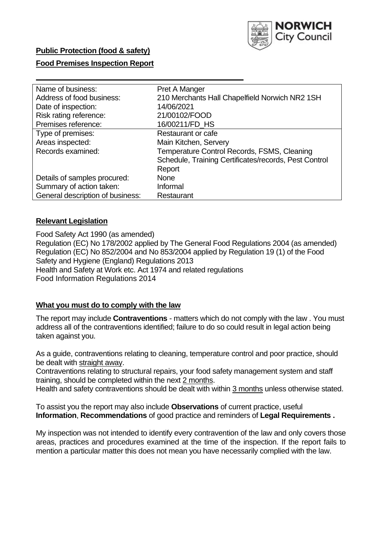

## **Public Protection (food & safety)**

## **Food Premises Inspection Report**

| Name of business:                | Pret A Manger                                         |
|----------------------------------|-------------------------------------------------------|
| Address of food business:        | 210 Merchants Hall Chapelfield Norwich NR2 1SH        |
| Date of inspection:              | 14/06/2021                                            |
| Risk rating reference:           | 21/00102/FOOD                                         |
| Premises reference:              | 16/00211/FD_HS                                        |
| Type of premises:                | Restaurant or cafe                                    |
| Areas inspected:                 | Main Kitchen, Servery                                 |
| Records examined:                | Temperature Control Records, FSMS, Cleaning           |
|                                  | Schedule, Training Certificates/records, Pest Control |
|                                  | Report                                                |
| Details of samples procured:     | <b>None</b>                                           |
| Summary of action taken:         | Informal                                              |
| General description of business: | Restaurant                                            |

## **Relevant Legislation**

 Food Safety Act 1990 (as amended) Regulation (EC) No 178/2002 applied by The General Food Regulations 2004 (as amended) Regulation (EC) No 852/2004 and No 853/2004 applied by Regulation 19 (1) of the Food Safety and Hygiene (England) Regulations 2013 Health and Safety at Work etc. Act 1974 and related regulations Food Information Regulations 2014

## **What you must do to comply with the law**

 The report may include **Contraventions** - matters which do not comply with the law . You must address all of the contraventions identified; failure to do so could result in legal action being taken against you.

 As a guide, contraventions relating to cleaning, temperature control and poor practice, should be dealt with straight away.

 Contraventions relating to structural repairs, your food safety management system and staff training, should be completed within the next 2 months.

Health and safety contraventions should be dealt with within 3 months unless otherwise stated.

 To assist you the report may also include **Observations** of current practice, useful **Information**, **Recommendations** of good practice and reminders of **Legal Requirements .** 

 My inspection was not intended to identify every contravention of the law and only covers those areas, practices and procedures examined at the time of the inspection. If the report fails to mention a particular matter this does not mean you have necessarily complied with the law.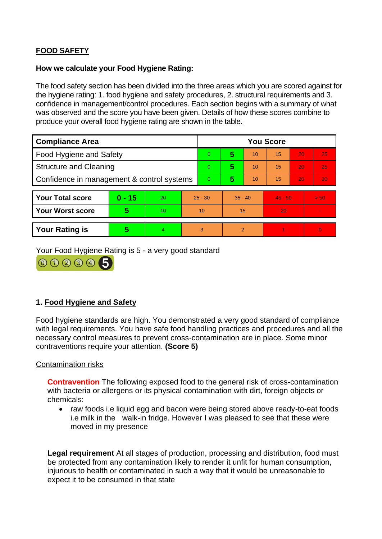# **FOOD SAFETY**

#### **How we calculate your Food Hygiene Rating:**

 The food safety section has been divided into the three areas which you are scored against for the hygiene rating: 1. food hygiene and safety procedures, 2. structural requirements and 3. confidence in management/control procedures. Each section begins with a summary of what was observed and the score you have been given. Details of how these scores combine to produce your overall food hygiene rating are shown in the table.

| <b>Compliance Area</b>                     |          |    |           | <b>You Score</b> |                |    |           |    |                |  |  |
|--------------------------------------------|----------|----|-----------|------------------|----------------|----|-----------|----|----------------|--|--|
| Food Hygiene and Safety                    |          |    | $\Omega$  | 5                | 10             | 15 | 20        | 25 |                |  |  |
| <b>Structure and Cleaning</b>              |          |    | $\Omega$  | 5                | 10             | 15 | 20        | 25 |                |  |  |
| Confidence in management & control systems |          |    | $\Omega$  | 5                | 10             | 15 | 20        | 30 |                |  |  |
|                                            |          |    |           |                  |                |    |           |    |                |  |  |
| <b>Your Total score</b>                    | $0 - 15$ | 20 | $25 - 30$ |                  | $35 - 40$      |    | $45 - 50$ |    | > 50           |  |  |
| Your Worst score                           | 5        | 10 | 10        |                  | 15             |    | 20        |    | $\blacksquare$ |  |  |
|                                            |          |    |           |                  |                |    |           |    |                |  |  |
| <b>Your Rating is</b>                      | 5        | 4  | 3         |                  | $\overline{2}$ |    |           |    | $\Omega$       |  |  |

Your Food Hygiene Rating is 5 - a very good standard



## **1. Food Hygiene and Safety**

 with legal requirements. You have safe food handling practices and procedures and all the Food hygiene standards are high. You demonstrated a very good standard of compliance necessary control measures to prevent cross-contamination are in place. Some minor contraventions require your attention. **(Score 5)** 

## Contamination risks

 **Contravention** The following exposed food to the general risk of cross-contamination with bacteria or allergens or its physical contamination with dirt, foreign objects or chemicals:

 i.e milk in the walk-in fridge. However I was pleased to see that these were • raw foods i.e liquid egg and bacon were being stored above ready-to-eat foods moved in my presence

 injurious to health or contaminated in such a way that it would be unreasonable to **Legal requirement** At all stages of production, processing and distribution, food must be protected from any contamination likely to render it unfit for human consumption, expect it to be consumed in that state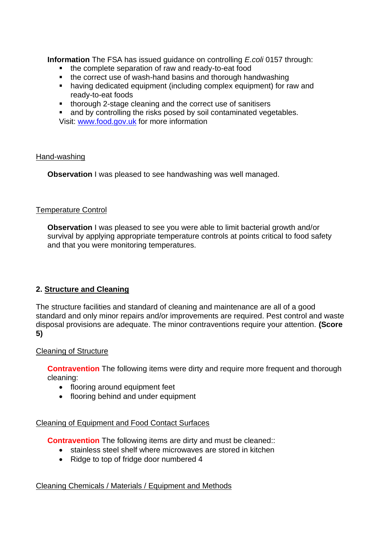**Information** The FSA has issued guidance on controlling *E.coli* 0157 through:

- the complete separation of raw and ready-to-eat food
- the correct use of wash-hand basins and thorough handwashing
- having dedicated equipment (including complex equipment) for raw and ready-to-eat foods
- thorough 2-stage cleaning and the correct use of sanitisers<br>■ and by controlling the risks posed by soil contaminated veg
- and by controlling the risks posed by soil contaminated vegetables.

Visit: [www.food.gov.uk](http://www.food.gov.uk/) for more information

## Hand-washing

**Observation** I was pleased to see handwashing was well managed.

## Temperature Control

**Observation I** was pleased to see you were able to limit bacterial growth and/or survival by applying appropriate temperature controls at points critical to food safety and that you were monitoring temperatures.

# **2. Structure and Cleaning**

 The structure facilities and standard of cleaning and maintenance are all of a good standard and only minor repairs and/or improvements are required. Pest control and waste disposal provisions are adequate. The minor contraventions require your attention. **(Score 5)** 

## Cleaning of Structure

**Contravention** The following items were dirty and require more frequent and thorough cleaning:

- flooring around equipment feet
- flooring behind and under equipment

## Cleaning of Equipment and Food Contact Surfaces

**Contravention** The following items are dirty and must be cleaned::

- stainless steel shelf where microwaves are stored in kitchen
- Ridge to top of fridge door numbered 4

## Cleaning Chemicals / Materials / Equipment and Methods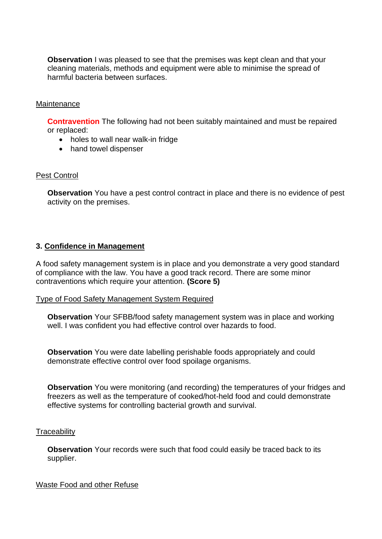**Observation** I was pleased to see that the premises was kept clean and that your cleaning materials, methods and equipment were able to minimise the spread of harmful bacteria between surfaces.

#### **Maintenance**

**Contravention** The following had not been suitably maintained and must be repaired or replaced:

- holes to wall near walk-in fridge
- hand towel dispenser

#### Pest Control

 **Observation** You have a pest control contract in place and there is no evidence of pest activity on the premises.

#### **3. Confidence in Management**

A food safety management system is in place and you demonstrate a very good standard of compliance with the law. You have a good track record. There are some minor contraventions which require your attention. **(Score 5)** 

#### Type of Food Safety Management System Required

**Observation** Your SFBB/food safety management system was in place and working well. I was confident you had effective control over hazards to food.

**Observation** You were date labelling perishable foods appropriately and could demonstrate effective control over food spoilage organisms.

**Observation** You were monitoring (and recording) the temperatures of your fridges and freezers as well as the temperature of cooked/hot-held food and could demonstrate effective systems for controlling bacterial growth and survival.

#### **Traceability**

**Observation** Your records were such that food could easily be traced back to its supplier.

Waste Food and other Refuse